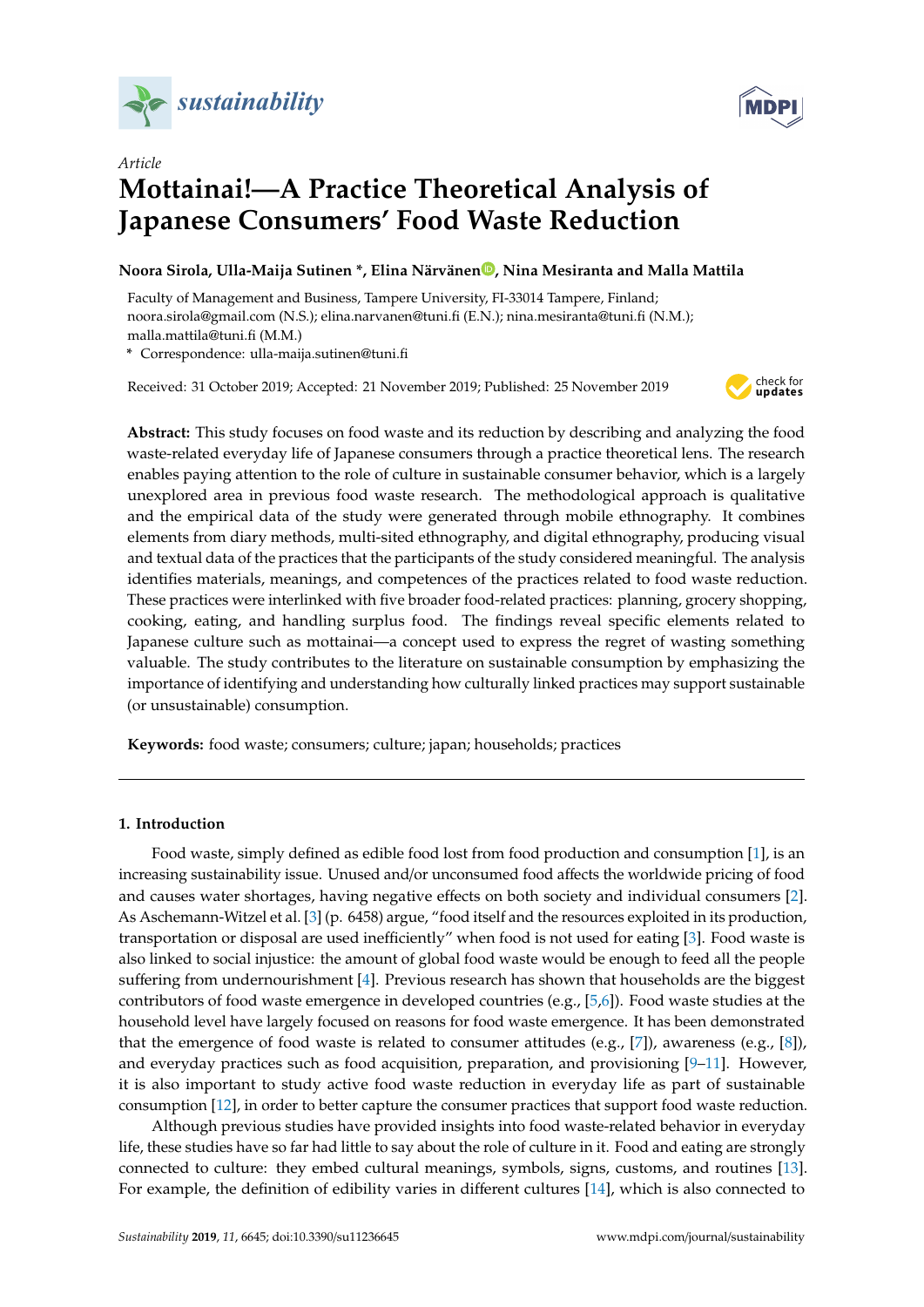



# *Article* **Mottainai!—A Practice Theoretical Analysis of Japanese Consumers' Food Waste Reduction**

**Noora Sirola, Ulla-Maija Sutinen \*, Elina Närväne[n](https://orcid.org/0000-0001-8255-1401) , Nina Mesiranta and Malla Mattila**

Faculty of Management and Business, Tampere University, FI-33014 Tampere, Finland; noora.sirola@gmail.com (N.S.); elina.narvanen@tuni.fi (E.N.); nina.mesiranta@tuni.fi (N.M.); malla.mattila@tuni.fi (M.M.)

**\*** Correspondence: ulla-maija.sutinen@tuni.fi

Received: 31 October 2019; Accepted: 21 November 2019; Published: 25 November 2019



**Abstract:** This study focuses on food waste and its reduction by describing and analyzing the food waste-related everyday life of Japanese consumers through a practice theoretical lens. The research enables paying attention to the role of culture in sustainable consumer behavior, which is a largely unexplored area in previous food waste research. The methodological approach is qualitative and the empirical data of the study were generated through mobile ethnography. It combines elements from diary methods, multi-sited ethnography, and digital ethnography, producing visual and textual data of the practices that the participants of the study considered meaningful. The analysis identifies materials, meanings, and competences of the practices related to food waste reduction. These practices were interlinked with five broader food-related practices: planning, grocery shopping, cooking, eating, and handling surplus food. The findings reveal specific elements related to Japanese culture such as mottainai—a concept used to express the regret of wasting something valuable. The study contributes to the literature on sustainable consumption by emphasizing the importance of identifying and understanding how culturally linked practices may support sustainable (or unsustainable) consumption.

**Keywords:** food waste; consumers; culture; japan; households; practices

# **1. Introduction**

Food waste, simply defined as edible food lost from food production and consumption [\[1\]](#page-10-0), is an increasing sustainability issue. Unused and/or unconsumed food affects the worldwide pricing of food and causes water shortages, having negative effects on both society and individual consumers [\[2\]](#page-10-1). As Aschemann-Witzel et al. [\[3\]](#page-10-2) (p. 6458) argue, "food itself and the resources exploited in its production, transportation or disposal are used inefficiently" when food is not used for eating [\[3\]](#page-10-2). Food waste is also linked to social injustice: the amount of global food waste would be enough to feed all the people suffering from undernourishment [\[4\]](#page-10-3). Previous research has shown that households are the biggest contributors of food waste emergence in developed countries (e.g., [\[5,](#page-10-4)[6\]](#page-10-5)). Food waste studies at the household level have largely focused on reasons for food waste emergence. It has been demonstrated that the emergence of food waste is related to consumer attitudes (e.g., [\[7\]](#page-10-6)), awareness (e.g., [\[8\]](#page-10-7)), and everyday practices such as food acquisition, preparation, and provisioning [\[9–](#page-10-8)[11\]](#page-10-9). However, it is also important to study active food waste reduction in everyday life as part of sustainable consumption [\[12\]](#page-10-10), in order to better capture the consumer practices that support food waste reduction.

Although previous studies have provided insights into food waste-related behavior in everyday life, these studies have so far had little to say about the role of culture in it. Food and eating are strongly connected to culture: they embed cultural meanings, symbols, signs, customs, and routines [\[13\]](#page-10-11). For example, the definition of edibility varies in different cultures [\[14\]](#page-10-12), which is also connected to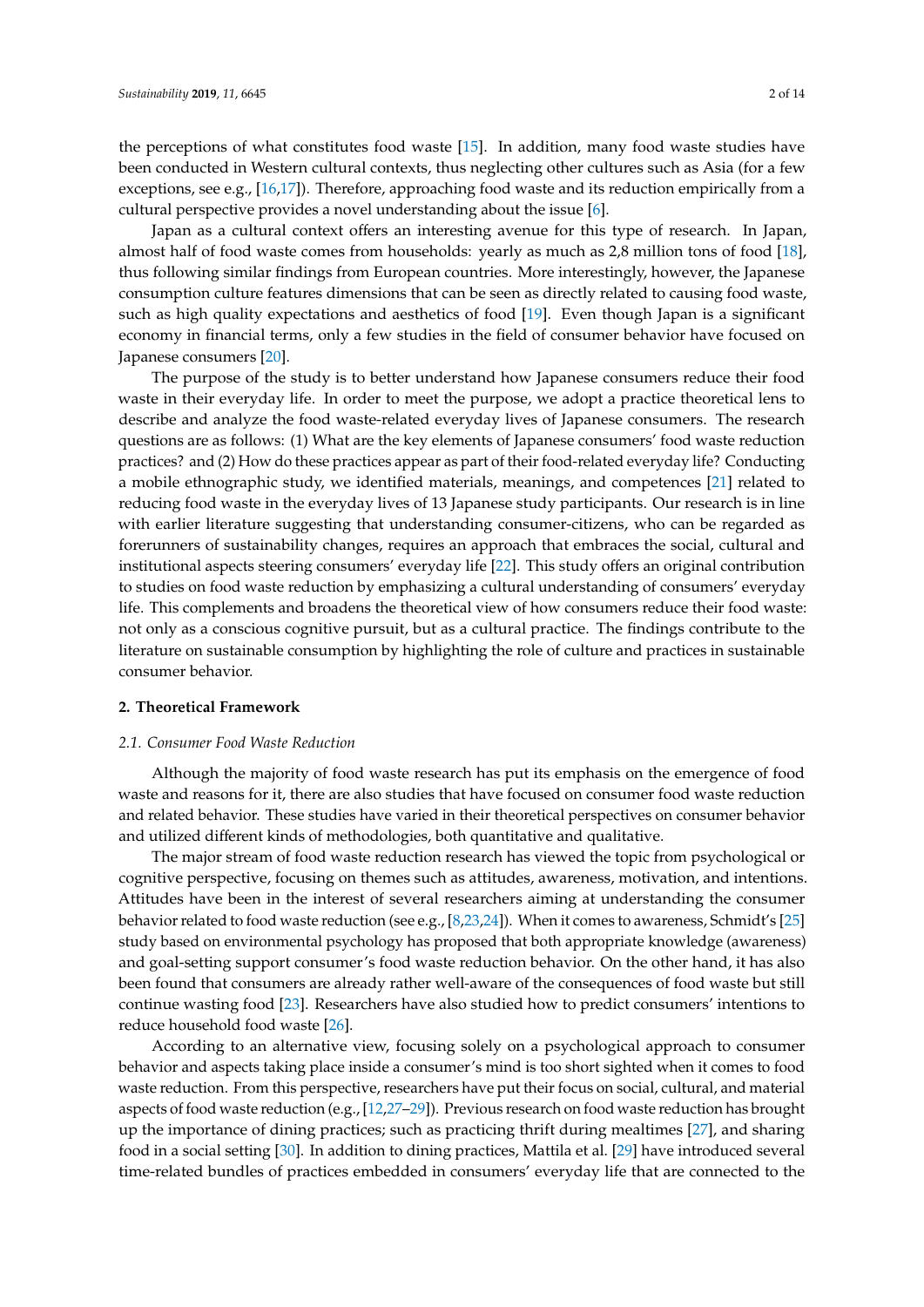the perceptions of what constitutes food waste [\[15\]](#page-10-13). In addition, many food waste studies have been conducted in Western cultural contexts, thus neglecting other cultures such as Asia (for a few exceptions, see e.g., [\[16,](#page-10-14)[17\]](#page-10-15)). Therefore, approaching food waste and its reduction empirically from a cultural perspective provides a novel understanding about the issue [\[6\]](#page-10-5).

Japan as a cultural context offers an interesting avenue for this type of research. In Japan, almost half of food waste comes from households: yearly as much as 2,8 million tons of food [\[18\]](#page-10-16), thus following similar findings from European countries. More interestingly, however, the Japanese consumption culture features dimensions that can be seen as directly related to causing food waste, such as high quality expectations and aesthetics of food [\[19\]](#page-10-17). Even though Japan is a significant economy in financial terms, only a few studies in the field of consumer behavior have focused on Japanese consumers [\[20\]](#page-10-18).

The purpose of the study is to better understand how Japanese consumers reduce their food waste in their everyday life. In order to meet the purpose, we adopt a practice theoretical lens to describe and analyze the food waste-related everyday lives of Japanese consumers. The research questions are as follows: (1) What are the key elements of Japanese consumers' food waste reduction practices? and (2) How do these practices appear as part of their food-related everyday life? Conducting a mobile ethnographic study, we identified materials, meanings, and competences [\[21\]](#page-11-0) related to reducing food waste in the everyday lives of 13 Japanese study participants. Our research is in line with earlier literature suggesting that understanding consumer-citizens, who can be regarded as forerunners of sustainability changes, requires an approach that embraces the social, cultural and institutional aspects steering consumers' everyday life [\[22\]](#page-11-1). This study offers an original contribution to studies on food waste reduction by emphasizing a cultural understanding of consumers' everyday life. This complements and broadens the theoretical view of how consumers reduce their food waste: not only as a conscious cognitive pursuit, but as a cultural practice. The findings contribute to the literature on sustainable consumption by highlighting the role of culture and practices in sustainable consumer behavior.

# **2. Theoretical Framework**

#### *2.1. Consumer Food Waste Reduction*

Although the majority of food waste research has put its emphasis on the emergence of food waste and reasons for it, there are also studies that have focused on consumer food waste reduction and related behavior. These studies have varied in their theoretical perspectives on consumer behavior and utilized different kinds of methodologies, both quantitative and qualitative.

The major stream of food waste reduction research has viewed the topic from psychological or cognitive perspective, focusing on themes such as attitudes, awareness, motivation, and intentions. Attitudes have been in the interest of several researchers aiming at understanding the consumer behavior related to food waste reduction (see e.g., [\[8,](#page-10-7)[23,](#page-11-2)[24\]](#page-11-3)). When it comes to awareness, Schmidt's [\[25\]](#page-11-4) study based on environmental psychology has proposed that both appropriate knowledge (awareness) and goal-setting support consumer's food waste reduction behavior. On the other hand, it has also been found that consumers are already rather well-aware of the consequences of food waste but still continue wasting food [\[23\]](#page-11-2). Researchers have also studied how to predict consumers' intentions to reduce household food waste [\[26\]](#page-11-5).

According to an alternative view, focusing solely on a psychological approach to consumer behavior and aspects taking place inside a consumer's mind is too short sighted when it comes to food waste reduction. From this perspective, researchers have put their focus on social, cultural, and material aspects of food waste reduction (e.g., [\[12](#page-10-10)[,27](#page-11-6)[–29\]](#page-11-7)). Previous research on food waste reduction has brought up the importance of dining practices; such as practicing thrift during mealtimes [\[27\]](#page-11-6), and sharing food in a social setting [\[30\]](#page-11-8). In addition to dining practices, Mattila et al. [\[29\]](#page-11-7) have introduced several time-related bundles of practices embedded in consumers' everyday life that are connected to the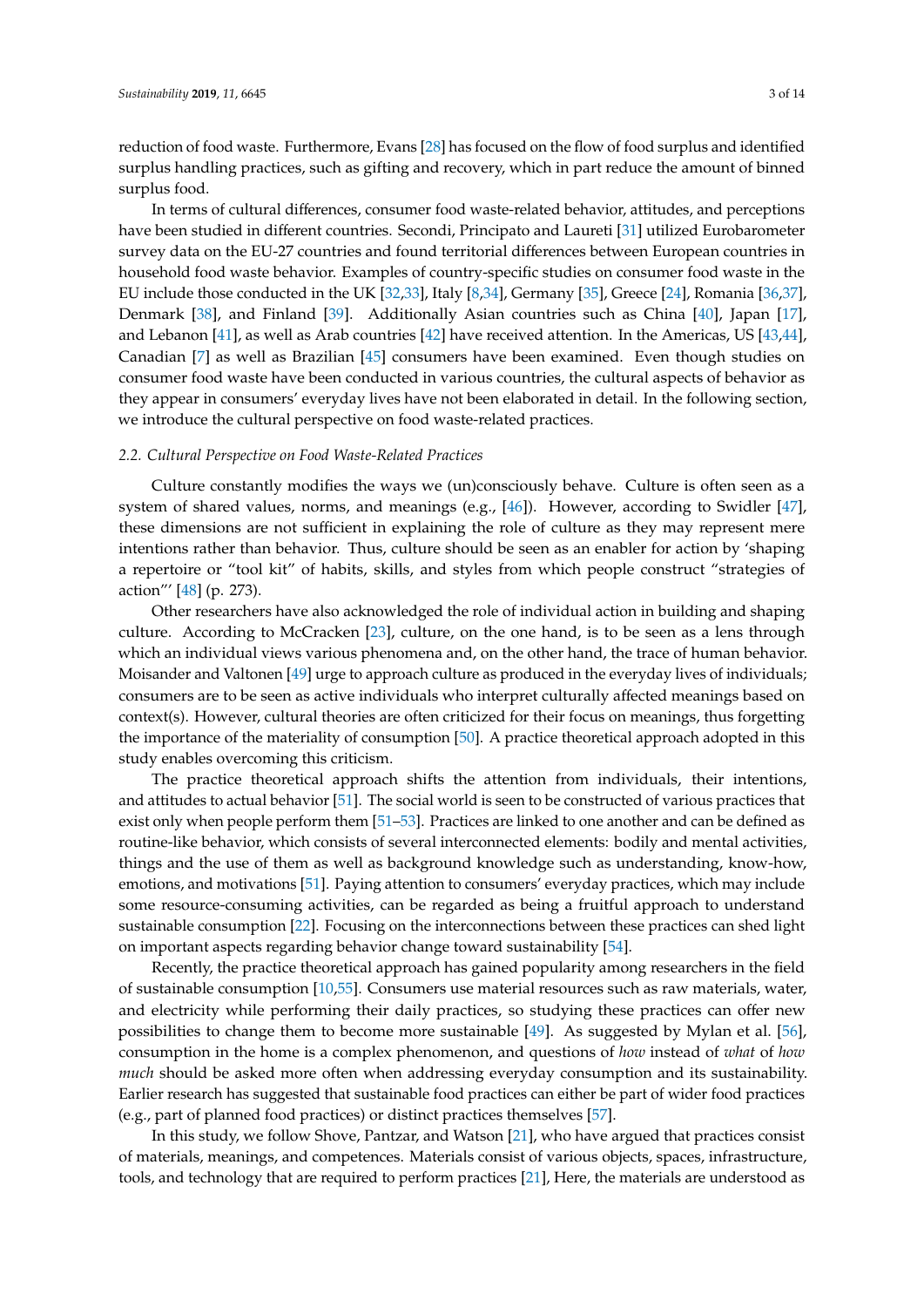reduction of food waste. Furthermore, Evans [\[28\]](#page-11-9) has focused on the flow of food surplus and identified surplus handling practices, such as gifting and recovery, which in part reduce the amount of binned surplus food.

In terms of cultural differences, consumer food waste-related behavior, attitudes, and perceptions have been studied in different countries. Secondi, Principato and Laureti [\[31\]](#page-11-10) utilized Eurobarometer survey data on the EU-27 countries and found territorial differences between European countries in household food waste behavior. Examples of country-specific studies on consumer food waste in the EU include those conducted in the UK [\[32,](#page-11-11)[33\]](#page-11-12), Italy [\[8](#page-10-7)[,34\]](#page-11-13), Germany [\[35\]](#page-11-14), Greece [\[24\]](#page-11-3), Romania [\[36](#page-11-15)[,37\]](#page-11-16), Denmark [\[38\]](#page-11-17), and Finland [\[39\]](#page-11-18). Additionally Asian countries such as China [\[40\]](#page-11-19), Japan [\[17\]](#page-10-15), and Lebanon [\[41\]](#page-11-20), as well as Arab countries [\[42\]](#page-11-21) have received attention. In the Americas, US [\[43,](#page-11-22)[44\]](#page-11-23), Canadian [\[7\]](#page-10-6) as well as Brazilian [\[45\]](#page-11-24) consumers have been examined. Even though studies on consumer food waste have been conducted in various countries, the cultural aspects of behavior as they appear in consumers' everyday lives have not been elaborated in detail. In the following section, we introduce the cultural perspective on food waste-related practices.

#### *2.2. Cultural Perspective on Food Waste-Related Practices*

Culture constantly modifies the ways we (un)consciously behave. Culture is often seen as a system of shared values, norms, and meanings (e.g., [\[46\]](#page-11-25)). However, according to Swidler [\[47\]](#page-11-26), these dimensions are not sufficient in explaining the role of culture as they may represent mere intentions rather than behavior. Thus, culture should be seen as an enabler for action by 'shaping a repertoire or "tool kit" of habits, skills, and styles from which people construct "strategies of action"' [\[48\]](#page-12-0) (p. 273).

Other researchers have also acknowledged the role of individual action in building and shaping culture. According to McCracken [\[23\]](#page-11-2), culture, on the one hand, is to be seen as a lens through which an individual views various phenomena and, on the other hand, the trace of human behavior. Moisander and Valtonen [\[49\]](#page-12-1) urge to approach culture as produced in the everyday lives of individuals; consumers are to be seen as active individuals who interpret culturally affected meanings based on context(s). However, cultural theories are often criticized for their focus on meanings, thus forgetting the importance of the materiality of consumption [\[50\]](#page-12-2). A practice theoretical approach adopted in this study enables overcoming this criticism.

The practice theoretical approach shifts the attention from individuals, their intentions, and attitudes to actual behavior [\[51\]](#page-12-3). The social world is seen to be constructed of various practices that exist only when people perform them [\[51](#page-12-3)[–53\]](#page-12-4). Practices are linked to one another and can be defined as routine-like behavior, which consists of several interconnected elements: bodily and mental activities, things and the use of them as well as background knowledge such as understanding, know-how, emotions, and motivations [\[51\]](#page-12-3). Paying attention to consumers' everyday practices, which may include some resource-consuming activities, can be regarded as being a fruitful approach to understand sustainable consumption [\[22\]](#page-11-1). Focusing on the interconnections between these practices can shed light on important aspects regarding behavior change toward sustainability [\[54\]](#page-12-5).

Recently, the practice theoretical approach has gained popularity among researchers in the field of sustainable consumption [\[10,](#page-10-19)[55\]](#page-12-6). Consumers use material resources such as raw materials, water, and electricity while performing their daily practices, so studying these practices can offer new possibilities to change them to become more sustainable [\[49\]](#page-12-1). As suggested by Mylan et al. [\[56\]](#page-12-7), consumption in the home is a complex phenomenon, and questions of *how* instead of *what* of *how much* should be asked more often when addressing everyday consumption and its sustainability. Earlier research has suggested that sustainable food practices can either be part of wider food practices (e.g., part of planned food practices) or distinct practices themselves [\[57\]](#page-12-8).

In this study, we follow Shove, Pantzar, and Watson [\[21\]](#page-11-0), who have argued that practices consist of materials, meanings, and competences. Materials consist of various objects, spaces, infrastructure, tools, and technology that are required to perform practices [\[21\]](#page-11-0), Here, the materials are understood as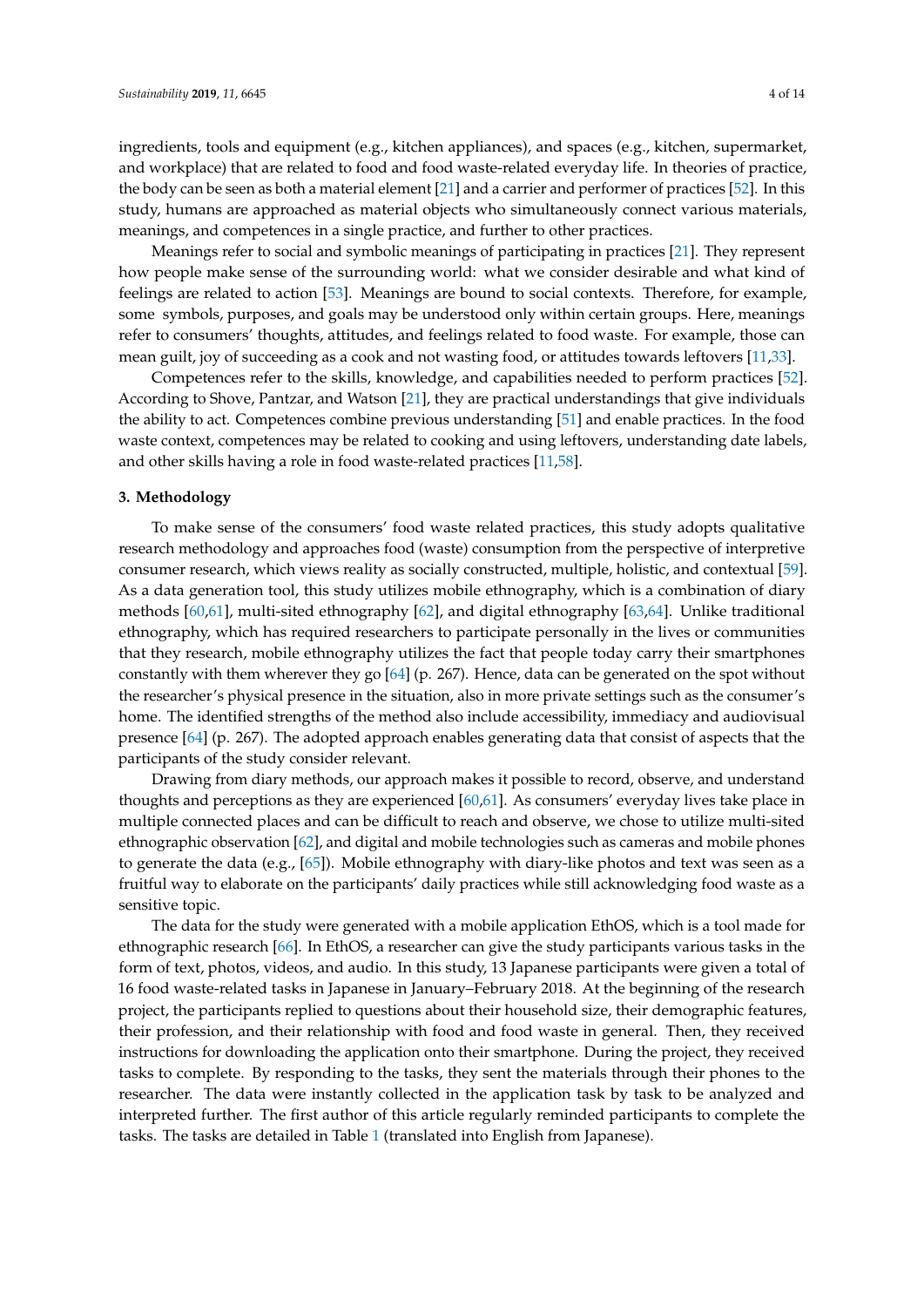ingredients, tools and equipment (e.g., kitchen appliances), and spaces (e.g., kitchen, supermarket, and workplace) that are related to food and food waste-related everyday life. In theories of practice, the body can be seen as both a material element [\[21\]](#page-11-0) and a carrier and performer of practices [\[52\]](#page-12-9). In this study, humans are approached as material objects who simultaneously connect various materials, meanings, and competences in a single practice, and further to other practices.

Meanings refer to social and symbolic meanings of participating in practices [\[21\]](#page-11-0). They represent how people make sense of the surrounding world: what we consider desirable and what kind of feelings are related to action [\[53\]](#page-12-4). Meanings are bound to social contexts. Therefore, for example, some symbols, purposes, and goals may be understood only within certain groups. Here, meanings refer to consumers' thoughts, attitudes, and feelings related to food waste. For example, those can mean guilt, joy of succeeding as a cook and not wasting food, or attitudes towards leftovers [\[11,](#page-10-9)[33\]](#page-11-12).

Competences refer to the skills, knowledge, and capabilities needed to perform practices [\[52\]](#page-12-9). According to Shove, Pantzar, and Watson [\[21\]](#page-11-0), they are practical understandings that give individuals the ability to act. Competences combine previous understanding [\[51\]](#page-12-3) and enable practices. In the food waste context, competences may be related to cooking and using leftovers, understanding date labels, and other skills having a role in food waste-related practices [\[11,](#page-10-9)[58\]](#page-12-10).

# **3. Methodology**

To make sense of the consumers' food waste related practices, this study adopts qualitative research methodology and approaches food (waste) consumption from the perspective of interpretive consumer research, which views reality as socially constructed, multiple, holistic, and contextual [\[59\]](#page-12-11). As a data generation tool, this study utilizes mobile ethnography, which is a combination of diary methods [\[60](#page-12-12)[,61\]](#page-12-13), multi-sited ethnography [\[62\]](#page-12-14), and digital ethnography [\[63,](#page-12-15)[64\]](#page-12-16). Unlike traditional ethnography, which has required researchers to participate personally in the lives or communities that they research, mobile ethnography utilizes the fact that people today carry their smartphones constantly with them wherever they go [\[64\]](#page-12-16) (p. 267). Hence, data can be generated on the spot without the researcher's physical presence in the situation, also in more private settings such as the consumer's home. The identified strengths of the method also include accessibility, immediacy and audiovisual presence [\[64\]](#page-12-16) (p. 267). The adopted approach enables generating data that consist of aspects that the participants of the study consider relevant.

Drawing from diary methods, our approach makes it possible to record, observe, and understand thoughts and perceptions as they are experienced [\[60](#page-12-12)[,61\]](#page-12-13). As consumers' everyday lives take place in multiple connected places and can be difficult to reach and observe, we chose to utilize multi-sited ethnographic observation [\[62\]](#page-12-14), and digital and mobile technologies such as cameras and mobile phones to generate the data (e.g., [\[65\]](#page-12-17)). Mobile ethnography with diary-like photos and text was seen as a fruitful way to elaborate on the participants' daily practices while still acknowledging food waste as a sensitive topic.

The data for the study were generated with a mobile application EthOS, which is a tool made for ethnographic research [\[66\]](#page-12-18). In EthOS, a researcher can give the study participants various tasks in the form of text, photos, videos, and audio. In this study, 13 Japanese participants were given a total of 16 food waste-related tasks in Japanese in January–February 2018. At the beginning of the research project, the participants replied to questions about their household size, their demographic features, their profession, and their relationship with food and food waste in general. Then, they received instructions for downloading the application onto their smartphone. During the project, they received tasks to complete. By responding to the tasks, they sent the materials through their phones to the researcher. The data were instantly collected in the application task by task to be analyzed and interpreted further. The first author of this article regularly reminded participants to complete the tasks. The tasks are detailed in Table [1](#page-4-0) (translated into English from Japanese).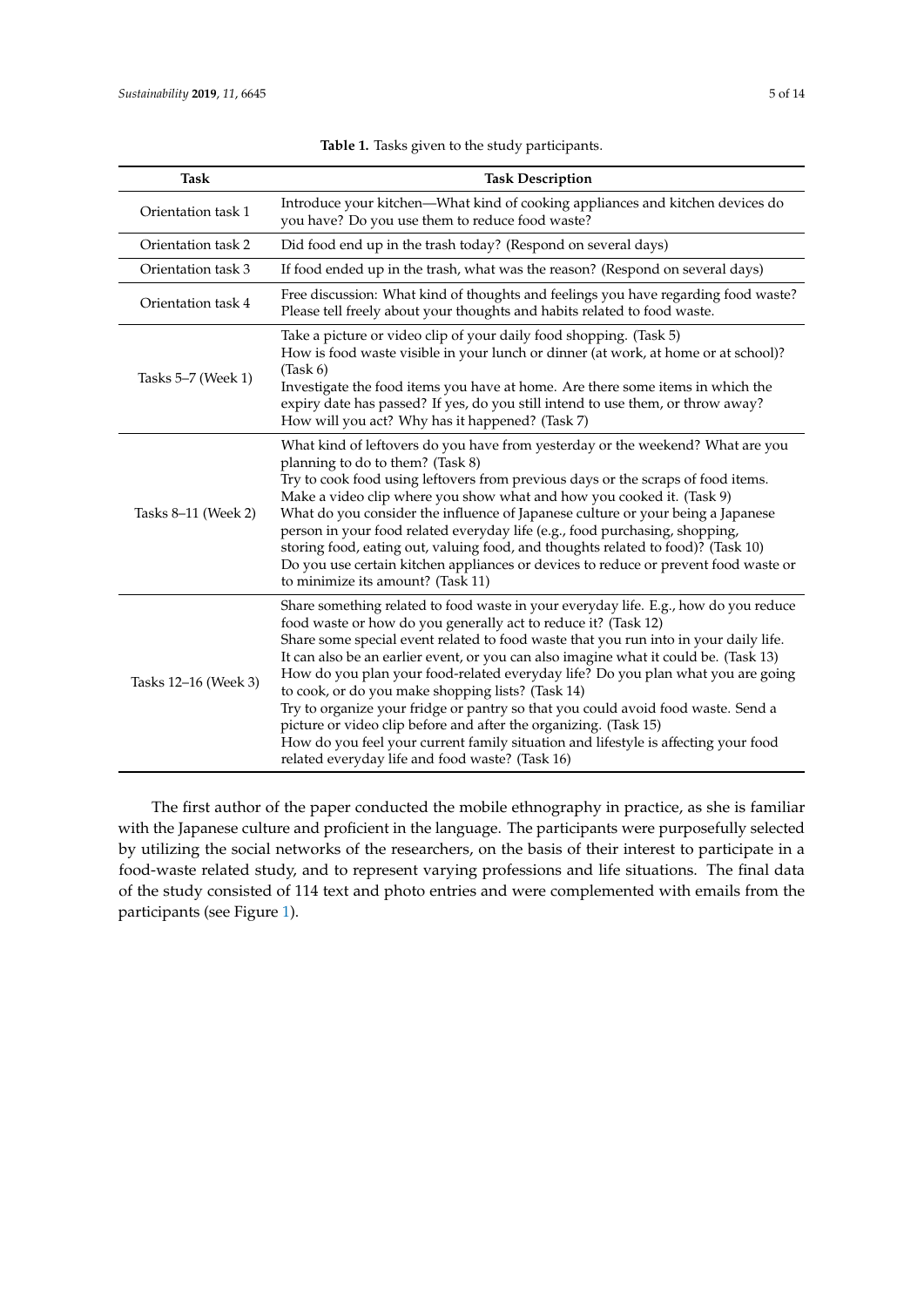<span id="page-4-0"></span>

| Task                                                                                                                                                                                                                                                                                                                                                                                                                                                                                                                                                                                                                                                                                                                                                                                                    | <b>Task Description</b>                                                                                                                                                                                                                                                                                                                                                                                                                                                                                                                                                                                                                                           |  |  |
|---------------------------------------------------------------------------------------------------------------------------------------------------------------------------------------------------------------------------------------------------------------------------------------------------------------------------------------------------------------------------------------------------------------------------------------------------------------------------------------------------------------------------------------------------------------------------------------------------------------------------------------------------------------------------------------------------------------------------------------------------------------------------------------------------------|-------------------------------------------------------------------------------------------------------------------------------------------------------------------------------------------------------------------------------------------------------------------------------------------------------------------------------------------------------------------------------------------------------------------------------------------------------------------------------------------------------------------------------------------------------------------------------------------------------------------------------------------------------------------|--|--|
| Orientation task 1                                                                                                                                                                                                                                                                                                                                                                                                                                                                                                                                                                                                                                                                                                                                                                                      | Introduce your kitchen-What kind of cooking appliances and kitchen devices do<br>you have? Do you use them to reduce food waste?                                                                                                                                                                                                                                                                                                                                                                                                                                                                                                                                  |  |  |
| Orientation task 2                                                                                                                                                                                                                                                                                                                                                                                                                                                                                                                                                                                                                                                                                                                                                                                      | Did food end up in the trash today? (Respond on several days)                                                                                                                                                                                                                                                                                                                                                                                                                                                                                                                                                                                                     |  |  |
| Orientation task 3                                                                                                                                                                                                                                                                                                                                                                                                                                                                                                                                                                                                                                                                                                                                                                                      | If food ended up in the trash, what was the reason? (Respond on several days)                                                                                                                                                                                                                                                                                                                                                                                                                                                                                                                                                                                     |  |  |
| Orientation task 4                                                                                                                                                                                                                                                                                                                                                                                                                                                                                                                                                                                                                                                                                                                                                                                      | Free discussion: What kind of thoughts and feelings you have regarding food waste?<br>Please tell freely about your thoughts and habits related to food waste.                                                                                                                                                                                                                                                                                                                                                                                                                                                                                                    |  |  |
| Tasks 5-7 (Week 1)                                                                                                                                                                                                                                                                                                                                                                                                                                                                                                                                                                                                                                                                                                                                                                                      | Take a picture or video clip of your daily food shopping. (Task 5)<br>How is food waste visible in your lunch or dinner (at work, at home or at school)?<br>(Task 6)<br>Investigate the food items you have at home. Are there some items in which the<br>expiry date has passed? If yes, do you still intend to use them, or throw away?<br>How will you act? Why has it happened? (Task 7)                                                                                                                                                                                                                                                                      |  |  |
| Tasks 8-11 (Week 2)                                                                                                                                                                                                                                                                                                                                                                                                                                                                                                                                                                                                                                                                                                                                                                                     | What kind of leftovers do you have from yesterday or the weekend? What are you<br>planning to do to them? (Task 8)<br>Try to cook food using leftovers from previous days or the scraps of food items.<br>Make a video clip where you show what and how you cooked it. (Task 9)<br>What do you consider the influence of Japanese culture or your being a Japanese<br>person in your food related everyday life (e.g., food purchasing, shopping,<br>storing food, eating out, valuing food, and thoughts related to food)? (Task 10)<br>Do you use certain kitchen appliances or devices to reduce or prevent food waste or<br>to minimize its amount? (Task 11) |  |  |
| Share something related to food waste in your everyday life. E.g., how do you reduce<br>food waste or how do you generally act to reduce it? (Task 12)<br>Share some special event related to food waste that you run into in your daily life.<br>It can also be an earlier event, or you can also imagine what it could be. (Task 13)<br>How do you plan your food-related everyday life? Do you plan what you are going<br>Tasks 12–16 (Week 3)<br>to cook, or do you make shopping lists? (Task 14)<br>Try to organize your fridge or pantry so that you could avoid food waste. Send a<br>picture or video clip before and after the organizing. (Task 15)<br>How do you feel your current family situation and lifestyle is affecting your food<br>related everyday life and food waste? (Task 16) |                                                                                                                                                                                                                                                                                                                                                                                                                                                                                                                                                                                                                                                                   |  |  |

**Table 1.** Tasks given to the study participants.

The first author of the paper conducted the mobile ethnography in practice, as she is familiar with the Japanese culture and proficient in the language. The participants were purposefully selected by utilizing the social networks of the researchers, on the basis of their interest to participate in a food-waste related study, and to represent varying professions and life situations. The final data of the study consisted of 114 text and photo entries and were complemented with emails from the participants (see Figure [1\)](#page-5-0).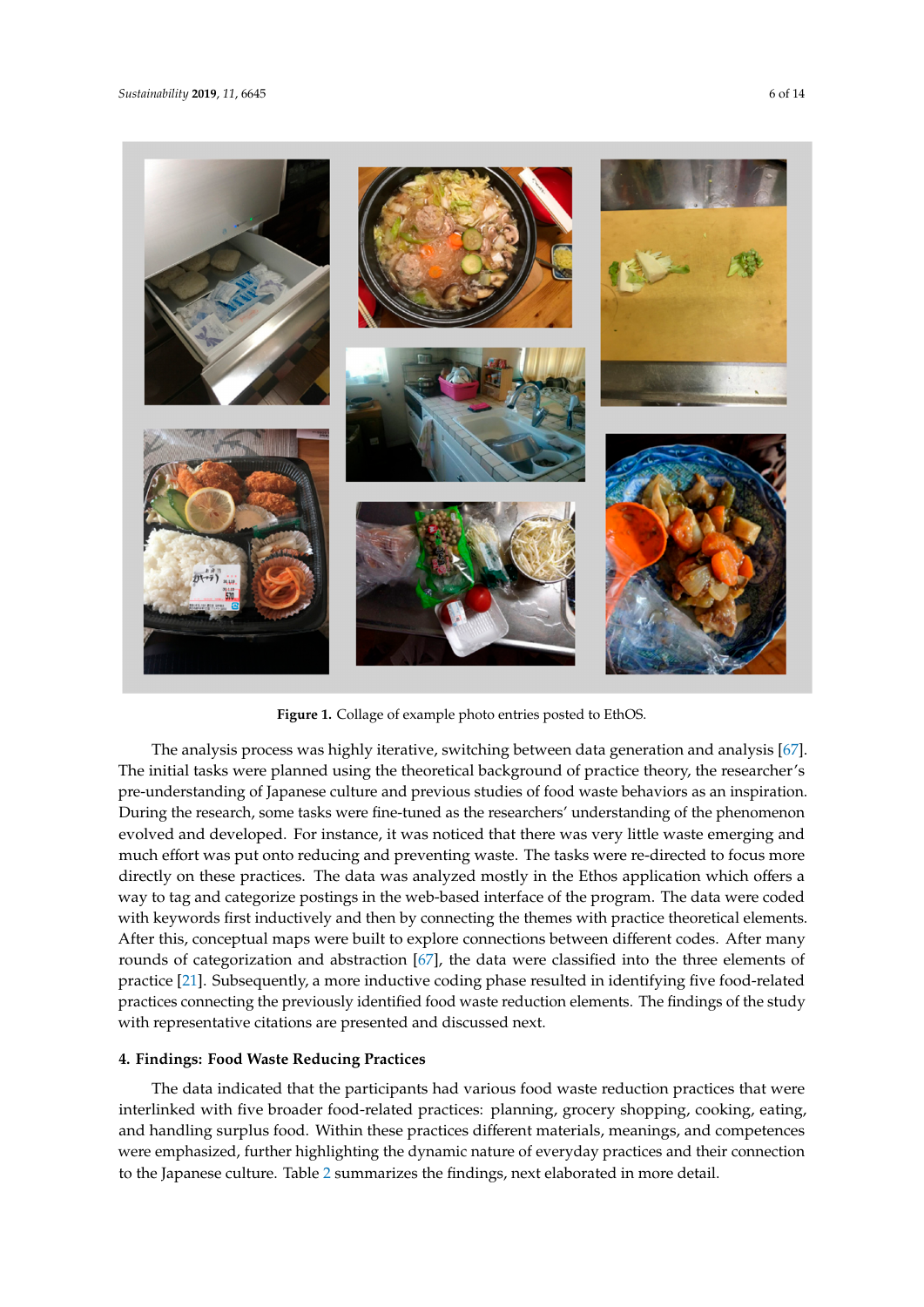<span id="page-5-0"></span>

**Figure 1.** Collage of example photo entries posted to EthOS. **Figure 1.** Collage of example photo entries posted to EthOS.

The analysis process was highly iterative, switching between data generation and analysis [67]. The analysis process was highly iterative, switching between data generation and analysis [\[67\]](#page-12-19). The initial tasks were planned using the theoretical background of practice theory, the researcher's The initial tasks were planned using the theoretical background of practice theory, the researcher's pre-understanding of Japanese culture and previous studies of food waste behaviors as an pre-understanding of Japanese culture and previous studies of food waste behaviors as an inspiration. During the research, some tasks were fine-tuned as the researchers' understanding of the phenomenon evolved and developed. For instance, it was noticed that there was very little waste emerging and much effort was put onto reducing and preventing waste. The tasks were re-directed to focus more directly on these practices. The data was analyzed mostly in the Ethos application which offers a way to tag and categorize postings in the web-based interface of the program. The data were coded with keywords first inductively and then by connecting the themes with practice theoretical elements. After this, conceptual maps were built to explore connections between different codes. After many rounds of categorization and abstraction [\[67\]](#page-12-19), the data were classified into the three elements of practice [\[21\]](#page-11-0). Subsequently, a more inductive coding phase resulted in identifying five food-related practices connecting the previously identified food waste reduction elements. The findings of the study with representative citations are presented and discussed next.

# **4. Findings: Food Waste Reducing Practices 4. Findings: Food Waste Reducing Practices**

The data indicated that the participants had various food waste reduction practices that were The data indicated that the participants had various food waste reduction practices that were interlinked with five broader food-related practices: planning, grocery shopping, cooking, eating, and handling surplus food. Within these practices different materials, meanings, and competences were emphasized, further highlighting the dynamic nature of everyday practices and their connection to the Japanese culture. Table 2 [su](#page-6-0)mmarizes the findings, next elaborated in more detail.  $\,$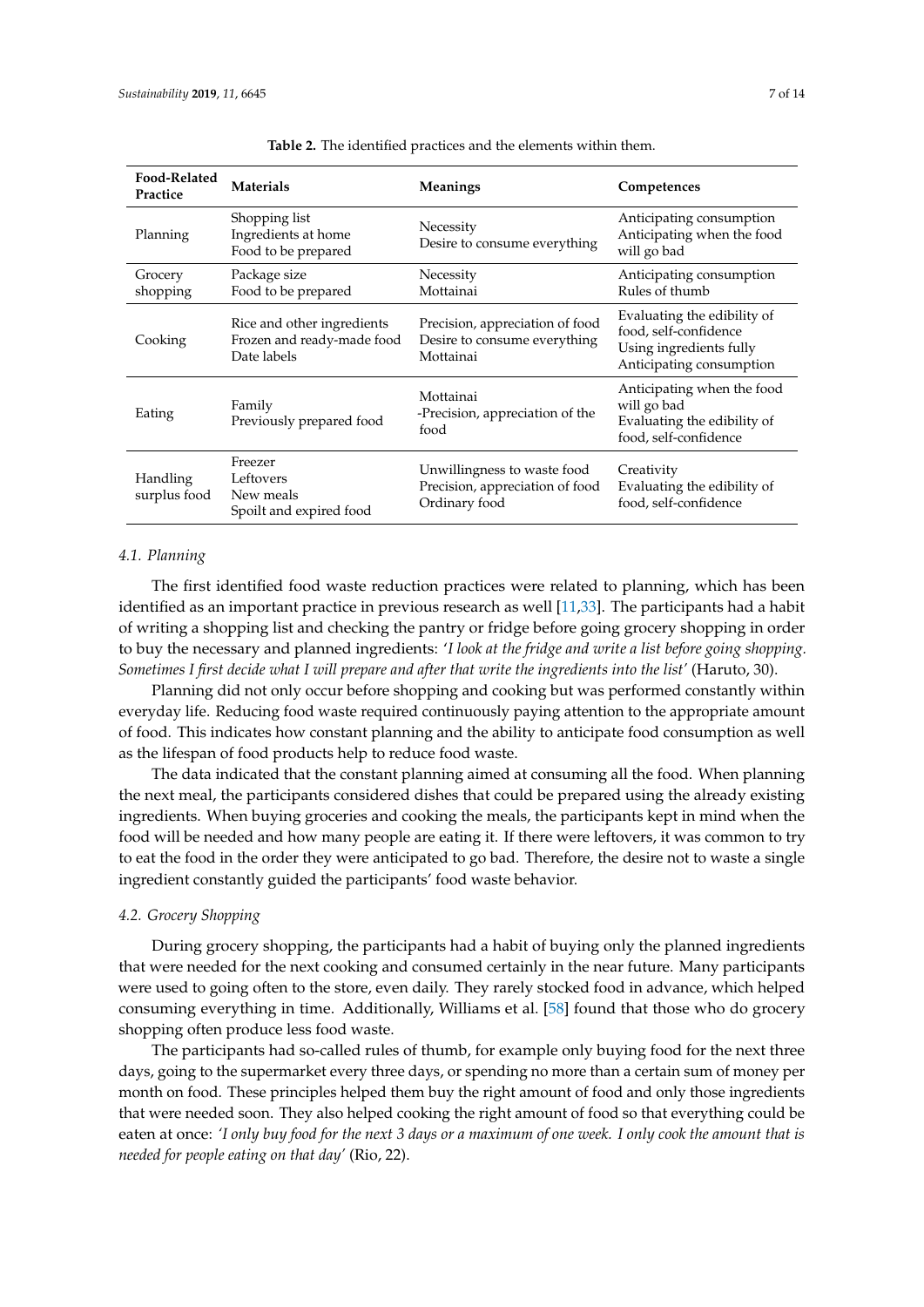<span id="page-6-0"></span>

| Food-Related<br>Practice        | <b>Materials</b>                                                        | <b>Meanings</b>                                                                 | Competences                                                                                                 |
|---------------------------------|-------------------------------------------------------------------------|---------------------------------------------------------------------------------|-------------------------------------------------------------------------------------------------------------|
| Planning                        | Shopping list<br>Ingredients at home<br>Food to be prepared             | Necessity<br>Desire to consume everything                                       | Anticipating consumption<br>Anticipating when the food<br>will go bad                                       |
| Grocery<br>shopping             | Package size<br>Food to be prepared                                     | Necessity<br>Mottainai                                                          | Anticipating consumption<br>Rules of thumb                                                                  |
| Cooking                         | Rice and other ingredients<br>Frozen and ready-made food<br>Date labels | Precision, appreciation of food<br>Desire to consume everything<br>Mottainai    | Evaluating the edibility of<br>food, self-confidence<br>Using ingredients fully<br>Anticipating consumption |
| Eating                          | Family<br>Previously prepared food                                      | Mottainai<br>-Precision, appreciation of the<br>food                            | Anticipating when the food<br>will go bad<br>Evaluating the edibility of<br>food, self-confidence           |
| <b>Handling</b><br>surplus food | Freezer<br>Leftovers<br>New meals<br>Spoilt and expired food            | Unwillingness to waste food<br>Precision, appreciation of food<br>Ordinary food | Creativity<br>Evaluating the edibility of<br>food, self-confidence                                          |

#### **Table 2.** The identified practices and the elements within them.

# *4.1. Planning*

The first identified food waste reduction practices were related to planning, which has been identified as an important practice in previous research as well [\[11](#page-10-9)[,33\]](#page-11-12). The participants had a habit of writing a shopping list and checking the pantry or fridge before going grocery shopping in order to buy the necessary and planned ingredients: '*I look at the fridge and write a list before going shopping. Sometimes I first decide what I will prepare and after that write the ingredients into the list'* (Haruto, 30).

Planning did not only occur before shopping and cooking but was performed constantly within everyday life. Reducing food waste required continuously paying attention to the appropriate amount of food. This indicates how constant planning and the ability to anticipate food consumption as well as the lifespan of food products help to reduce food waste.

The data indicated that the constant planning aimed at consuming all the food. When planning the next meal, the participants considered dishes that could be prepared using the already existing ingredients. When buying groceries and cooking the meals, the participants kept in mind when the food will be needed and how many people are eating it. If there were leftovers, it was common to try to eat the food in the order they were anticipated to go bad. Therefore, the desire not to waste a single ingredient constantly guided the participants' food waste behavior.

#### *4.2. Grocery Shopping*

During grocery shopping, the participants had a habit of buying only the planned ingredients that were needed for the next cooking and consumed certainly in the near future. Many participants were used to going often to the store, even daily. They rarely stocked food in advance, which helped consuming everything in time. Additionally, Williams et al. [\[58\]](#page-12-10) found that those who do grocery shopping often produce less food waste.

The participants had so-called rules of thumb, for example only buying food for the next three days, going to the supermarket every three days, or spending no more than a certain sum of money per month on food. These principles helped them buy the right amount of food and only those ingredients that were needed soon. They also helped cooking the right amount of food so that everything could be eaten at once: *'I only buy food for the next 3 days or a maximum of one week. I only cook the amount that is needed for people eating on that day'* (Rio, 22).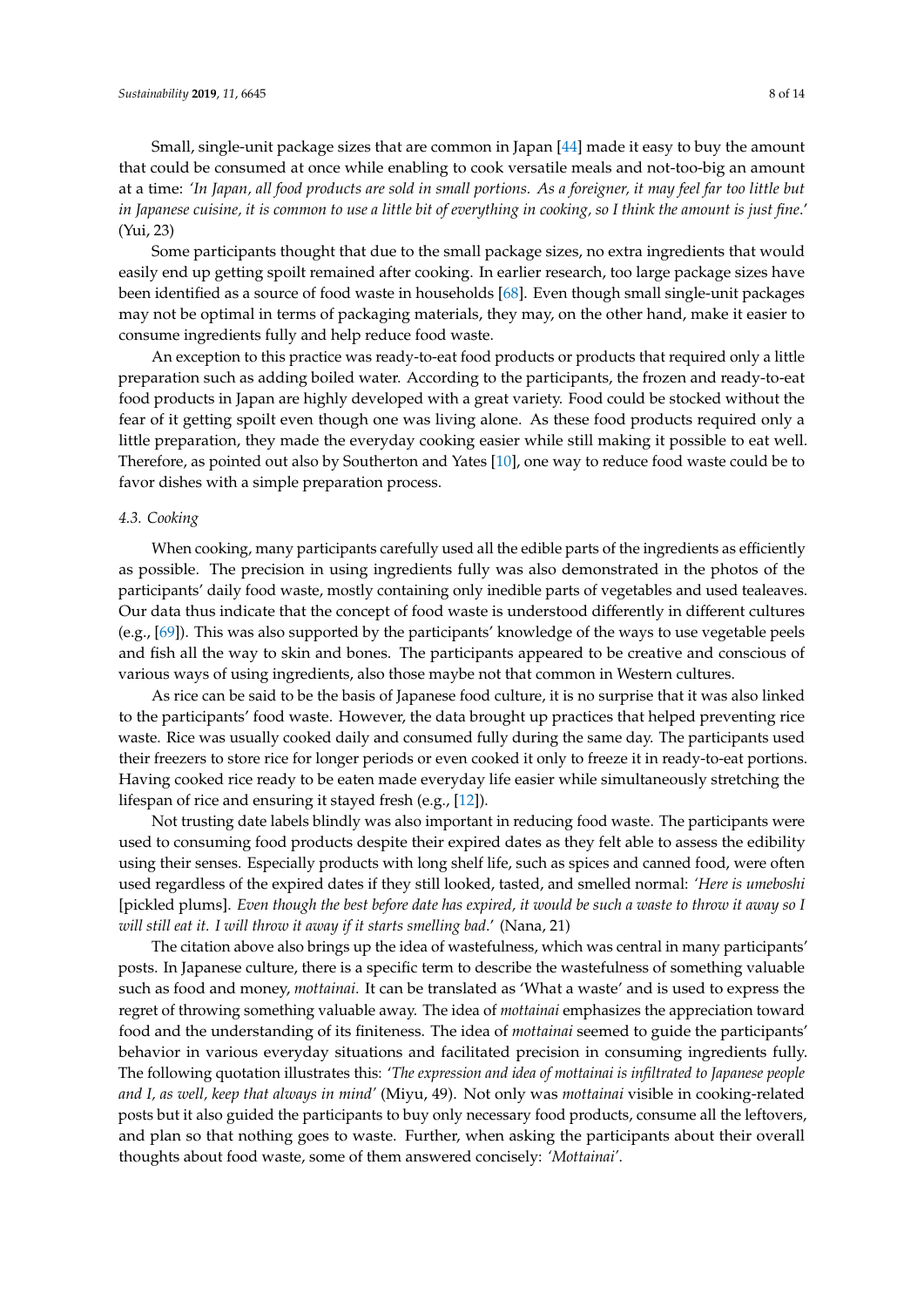Small, single-unit package sizes that are common in Japan [\[44\]](#page-11-23) made it easy to buy the amount that could be consumed at once while enabling to cook versatile meals and not-too-big an amount at a time: *'In Japan, all food products are sold in small portions. As a foreigner, it may feel far too little but in Japanese cuisine, it is common to use a little bit of everything in cooking, so I think the amount is just fine*.' (Yui, 23)

Some participants thought that due to the small package sizes, no extra ingredients that would easily end up getting spoilt remained after cooking. In earlier research, too large package sizes have been identified as a source of food waste in households [\[68\]](#page-12-20). Even though small single-unit packages may not be optimal in terms of packaging materials, they may, on the other hand, make it easier to consume ingredients fully and help reduce food waste.

An exception to this practice was ready-to-eat food products or products that required only a little preparation such as adding boiled water. According to the participants, the frozen and ready-to-eat food products in Japan are highly developed with a great variety. Food could be stocked without the fear of it getting spoilt even though one was living alone. As these food products required only a little preparation, they made the everyday cooking easier while still making it possible to eat well. Therefore, as pointed out also by Southerton and Yates [\[10\]](#page-10-19), one way to reduce food waste could be to favor dishes with a simple preparation process.

# *4.3. Cooking*

When cooking, many participants carefully used all the edible parts of the ingredients as efficiently as possible. The precision in using ingredients fully was also demonstrated in the photos of the participants' daily food waste, mostly containing only inedible parts of vegetables and used tealeaves. Our data thus indicate that the concept of food waste is understood differently in different cultures (e.g., [\[69\]](#page-12-21)). This was also supported by the participants' knowledge of the ways to use vegetable peels and fish all the way to skin and bones. The participants appeared to be creative and conscious of various ways of using ingredients, also those maybe not that common in Western cultures.

As rice can be said to be the basis of Japanese food culture, it is no surprise that it was also linked to the participants' food waste. However, the data brought up practices that helped preventing rice waste. Rice was usually cooked daily and consumed fully during the same day. The participants used their freezers to store rice for longer periods or even cooked it only to freeze it in ready-to-eat portions. Having cooked rice ready to be eaten made everyday life easier while simultaneously stretching the lifespan of rice and ensuring it stayed fresh (e.g., [\[12\]](#page-10-10)).

Not trusting date labels blindly was also important in reducing food waste. The participants were used to consuming food products despite their expired dates as they felt able to assess the edibility using their senses. Especially products with long shelf life, such as spices and canned food, were often used regardless of the expired dates if they still looked, tasted, and smelled normal: *'Here is umeboshi* [pickled plums]. *Even though the best before date has expired, it would be such a waste to throw it away so I will still eat it. I will throw it away if it starts smelling bad*.' (Nana, 21)

The citation above also brings up the idea of wastefulness, which was central in many participants' posts. In Japanese culture, there is a specific term to describe the wastefulness of something valuable such as food and money, *mottainai*. It can be translated as 'What a waste' and is used to express the regret of throwing something valuable away. The idea of *mottainai* emphasizes the appreciation toward food and the understanding of its finiteness. The idea of *mottainai* seemed to guide the participants' behavior in various everyday situations and facilitated precision in consuming ingredients fully. The following quotation illustrates this: '*The expression and idea of mottainai is infiltrated to Japanese people and I, as well, keep that always in mind'* (Miyu, 49). Not only was *mottainai* visible in cooking-related posts but it also guided the participants to buy only necessary food products, consume all the leftovers, and plan so that nothing goes to waste. Further, when asking the participants about their overall thoughts about food waste, some of them answered concisely: *'Mottainai'*.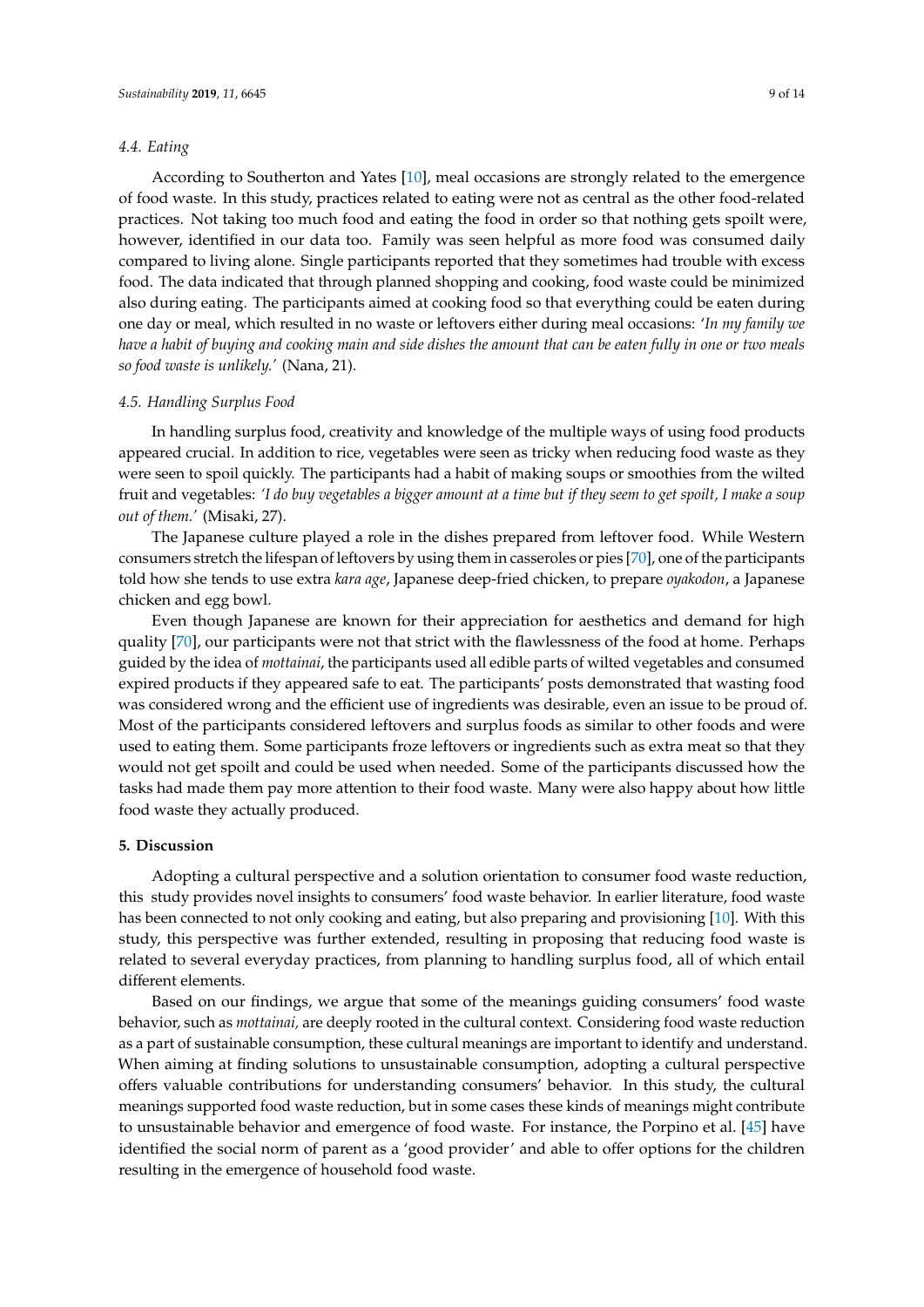# *4.4. Eating*

According to Southerton and Yates [\[10\]](#page-10-19), meal occasions are strongly related to the emergence of food waste. In this study, practices related to eating were not as central as the other food-related practices. Not taking too much food and eating the food in order so that nothing gets spoilt were, however, identified in our data too. Family was seen helpful as more food was consumed daily compared to living alone. Single participants reported that they sometimes had trouble with excess food. The data indicated that through planned shopping and cooking, food waste could be minimized also during eating. The participants aimed at cooking food so that everything could be eaten during one day or meal, which resulted in no waste or leftovers either during meal occasions: '*In my family we have a habit of buying and cooking main and side dishes the amount that can be eaten fully in one or two meals so food waste is unlikely.'* (Nana, 21).

# *4.5. Handling Surplus Food*

In handling surplus food, creativity and knowledge of the multiple ways of using food products appeared crucial. In addition to rice, vegetables were seen as tricky when reducing food waste as they were seen to spoil quickly. The participants had a habit of making soups or smoothies from the wilted fruit and vegetables: *'I do buy vegetables a bigger amount at a time but if they seem to get spoilt, I make a soup out of them.'* (Misaki, 27).

The Japanese culture played a role in the dishes prepared from leftover food. While Western consumers stretch the lifespan of leftovers by using them in casseroles or pies [\[70\]](#page-12-22), one of the participants told how she tends to use extra *kara age*, Japanese deep-fried chicken, to prepare *oyakodon*, a Japanese chicken and egg bowl.

Even though Japanese are known for their appreciation for aesthetics and demand for high quality [\[70\]](#page-12-22), our participants were not that strict with the flawlessness of the food at home. Perhaps guided by the idea of *mottainai*, the participants used all edible parts of wilted vegetables and consumed expired products if they appeared safe to eat. The participants' posts demonstrated that wasting food was considered wrong and the efficient use of ingredients was desirable, even an issue to be proud of. Most of the participants considered leftovers and surplus foods as similar to other foods and were used to eating them. Some participants froze leftovers or ingredients such as extra meat so that they would not get spoilt and could be used when needed. Some of the participants discussed how the tasks had made them pay more attention to their food waste. Many were also happy about how little food waste they actually produced.

# **5. Discussion**

Adopting a cultural perspective and a solution orientation to consumer food waste reduction, this study provides novel insights to consumers' food waste behavior. In earlier literature, food waste has been connected to not only cooking and eating, but also preparing and provisioning [\[10\]](#page-10-19). With this study, this perspective was further extended, resulting in proposing that reducing food waste is related to several everyday practices, from planning to handling surplus food, all of which entail different elements.

Based on our findings, we argue that some of the meanings guiding consumers' food waste behavior, such as *mottainai,* are deeply rooted in the cultural context. Considering food waste reduction as a part of sustainable consumption, these cultural meanings are important to identify and understand. When aiming at finding solutions to unsustainable consumption, adopting a cultural perspective offers valuable contributions for understanding consumers' behavior. In this study, the cultural meanings supported food waste reduction, but in some cases these kinds of meanings might contribute to unsustainable behavior and emergence of food waste. For instance, the Porpino et al. [\[45\]](#page-11-24) have identified the social norm of parent as a 'good provider' and able to offer options for the children resulting in the emergence of household food waste.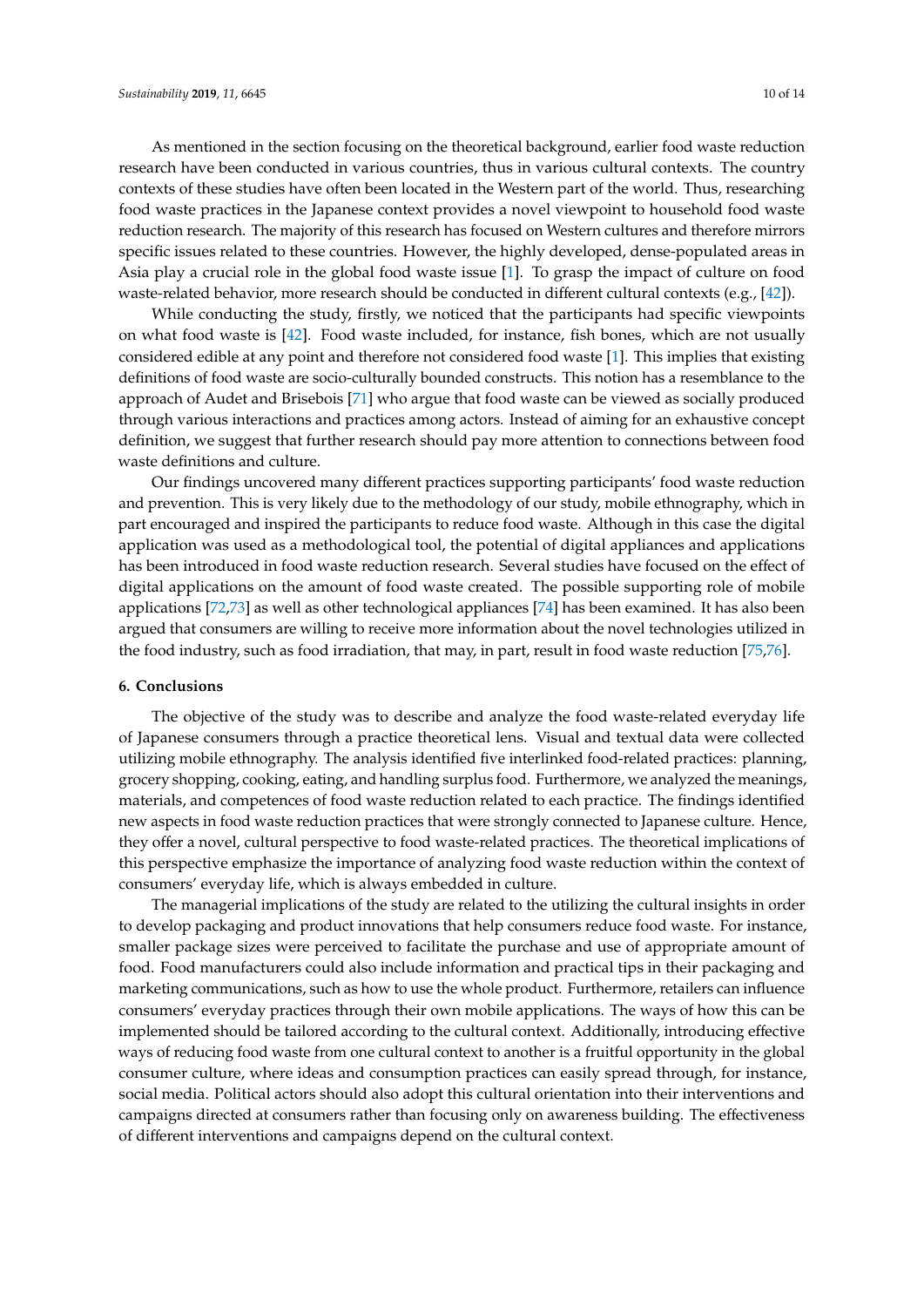As mentioned in the section focusing on the theoretical background, earlier food waste reduction research have been conducted in various countries, thus in various cultural contexts. The country contexts of these studies have often been located in the Western part of the world. Thus, researching food waste practices in the Japanese context provides a novel viewpoint to household food waste reduction research. The majority of this research has focused on Western cultures and therefore mirrors specific issues related to these countries. However, the highly developed, dense-populated areas in Asia play a crucial role in the global food waste issue [\[1\]](#page-10-0). To grasp the impact of culture on food waste-related behavior, more research should be conducted in different cultural contexts (e.g., [\[42\]](#page-11-21)).

While conducting the study, firstly, we noticed that the participants had specific viewpoints on what food waste is [\[42\]](#page-11-21). Food waste included, for instance, fish bones, which are not usually considered edible at any point and therefore not considered food waste [\[1\]](#page-10-0). This implies that existing definitions of food waste are socio-culturally bounded constructs. This notion has a resemblance to the approach of Audet and Brisebois [\[71\]](#page-12-23) who argue that food waste can be viewed as socially produced through various interactions and practices among actors. Instead of aiming for an exhaustive concept definition, we suggest that further research should pay more attention to connections between food waste definitions and culture.

Our findings uncovered many different practices supporting participants' food waste reduction and prevention. This is very likely due to the methodology of our study, mobile ethnography, which in part encouraged and inspired the participants to reduce food waste. Although in this case the digital application was used as a methodological tool, the potential of digital appliances and applications has been introduced in food waste reduction research. Several studies have focused on the effect of digital applications on the amount of food waste created. The possible supporting role of mobile applications [\[72,](#page-12-24)[73\]](#page-12-25) as well as other technological appliances [\[74\]](#page-13-0) has been examined. It has also been argued that consumers are willing to receive more information about the novel technologies utilized in the food industry, such as food irradiation, that may, in part, result in food waste reduction [\[75,](#page-13-1)[76\]](#page-13-2).

# **6. Conclusions**

The objective of the study was to describe and analyze the food waste-related everyday life of Japanese consumers through a practice theoretical lens. Visual and textual data were collected utilizing mobile ethnography. The analysis identified five interlinked food-related practices: planning, grocery shopping, cooking, eating, and handling surplus food. Furthermore, we analyzed the meanings, materials, and competences of food waste reduction related to each practice. The findings identified new aspects in food waste reduction practices that were strongly connected to Japanese culture. Hence, they offer a novel, cultural perspective to food waste-related practices. The theoretical implications of this perspective emphasize the importance of analyzing food waste reduction within the context of consumers' everyday life, which is always embedded in culture.

The managerial implications of the study are related to the utilizing the cultural insights in order to develop packaging and product innovations that help consumers reduce food waste. For instance, smaller package sizes were perceived to facilitate the purchase and use of appropriate amount of food. Food manufacturers could also include information and practical tips in their packaging and marketing communications, such as how to use the whole product. Furthermore, retailers can influence consumers' everyday practices through their own mobile applications. The ways of how this can be implemented should be tailored according to the cultural context. Additionally, introducing effective ways of reducing food waste from one cultural context to another is a fruitful opportunity in the global consumer culture, where ideas and consumption practices can easily spread through, for instance, social media. Political actors should also adopt this cultural orientation into their interventions and campaigns directed at consumers rather than focusing only on awareness building. The effectiveness of different interventions and campaigns depend on the cultural context.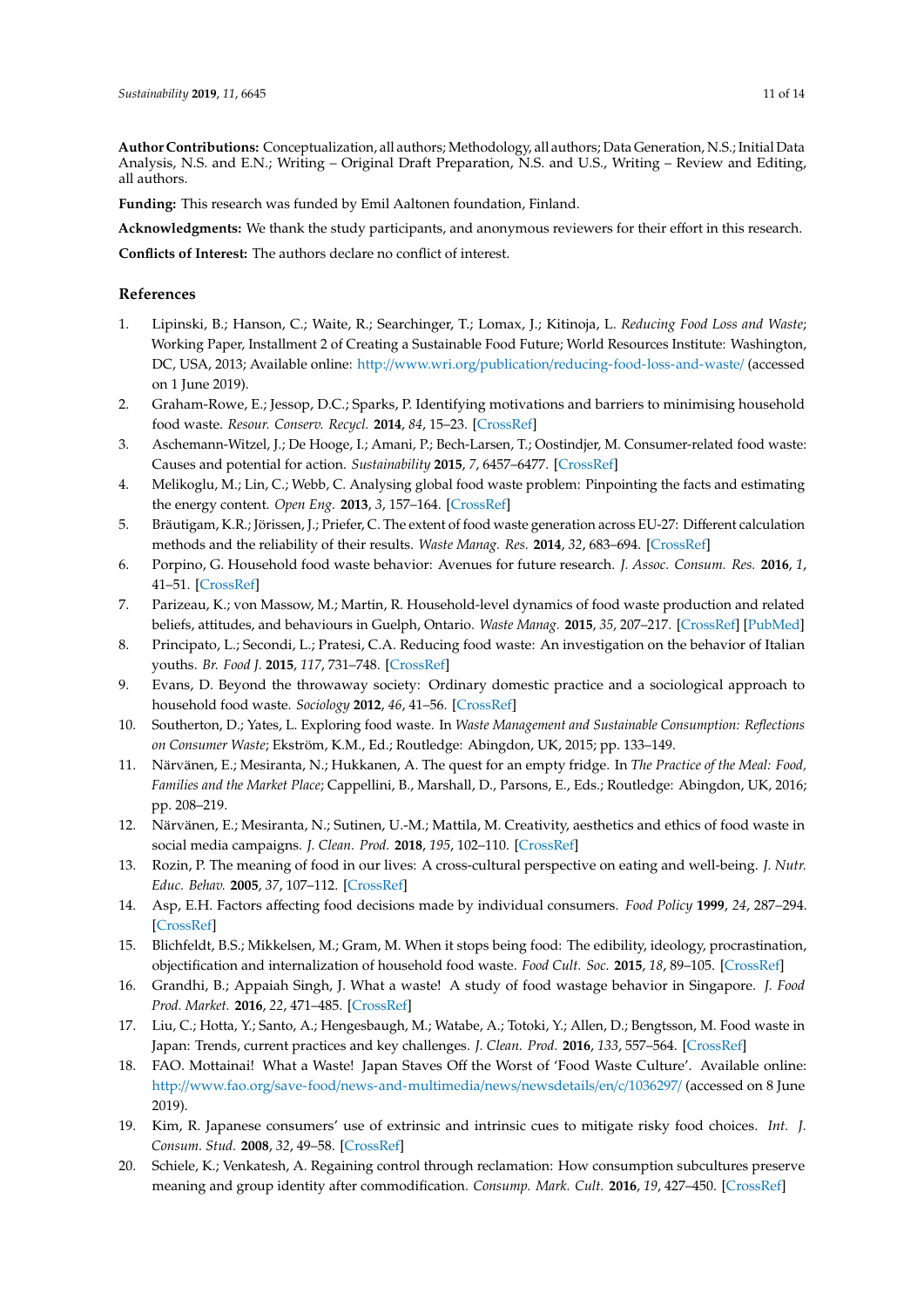**Author Contributions:** Conceptualization, all authors; Methodology, all authors; Data Generation, N.S.; Initial Data Analysis, N.S. and E.N.; Writing – Original Draft Preparation, N.S. and U.S., Writing – Review and Editing, all authors.

**Funding:** This research was funded by Emil Aaltonen foundation, Finland.

**Acknowledgments:** We thank the study participants, and anonymous reviewers for their effort in this research.

**Conflicts of Interest:** The authors declare no conflict of interest.

# **References**

- <span id="page-10-0"></span>1. Lipinski, B.; Hanson, C.; Waite, R.; Searchinger, T.; Lomax, J.; Kitinoja, L. *Reducing Food Loss and Waste*; Working Paper, Installment 2 of Creating a Sustainable Food Future; World Resources Institute: Washington, DC, USA, 2013; Available online: http://www.wri.org/publication/[reducing-food-loss-and-waste](http://www.wri.org/publication/reducing-food-loss-and-waste/)/ (accessed on 1 June 2019).
- <span id="page-10-1"></span>2. Graham-Rowe, E.; Jessop, D.C.; Sparks, P. Identifying motivations and barriers to minimising household food waste. *Resour. Conserv. Recycl.* **2014**, *84*, 15–23. [\[CrossRef\]](http://dx.doi.org/10.1016/j.resconrec.2013.12.005)
- <span id="page-10-2"></span>3. Aschemann-Witzel, J.; De Hooge, I.; Amani, P.; Bech-Larsen, T.; Oostindjer, M. Consumer-related food waste: Causes and potential for action. *Sustainability* **2015**, *7*, 6457–6477. [\[CrossRef\]](http://dx.doi.org/10.3390/su7066457)
- <span id="page-10-3"></span>4. Melikoglu, M.; Lin, C.; Webb, C. Analysing global food waste problem: Pinpointing the facts and estimating the energy content. *Open Eng.* **2013**, *3*, 157–164. [\[CrossRef\]](http://dx.doi.org/10.2478/s13531-012-0058-5)
- <span id="page-10-4"></span>5. Bräutigam, K.R.; Jörissen, J.; Priefer, C. The extent of food waste generation across EU-27: Different calculation methods and the reliability of their results. *Waste Manag. Res.* **2014**, *32*, 683–694. [\[CrossRef\]](http://dx.doi.org/10.1177/0734242X14545374)
- <span id="page-10-5"></span>6. Porpino, G. Household food waste behavior: Avenues for future research. *J. Assoc. Consum. Res.* **2016**, *1*, 41–51. [\[CrossRef\]](http://dx.doi.org/10.1086/684528)
- <span id="page-10-6"></span>7. Parizeau, K.; von Massow, M.; Martin, R. Household-level dynamics of food waste production and related beliefs, attitudes, and behaviours in Guelph, Ontario. *Waste Manag.* **2015**, *35*, 207–217. [\[CrossRef\]](http://dx.doi.org/10.1016/j.wasman.2014.09.019) [\[PubMed\]](http://www.ncbi.nlm.nih.gov/pubmed/25445261)
- <span id="page-10-7"></span>8. Principato, L.; Secondi, L.; Pratesi, C.A. Reducing food waste: An investigation on the behavior of Italian youths. *Br. Food J.* **2015**, *117*, 731–748. [\[CrossRef\]](http://dx.doi.org/10.1108/BFJ-10-2013-0314)
- <span id="page-10-8"></span>9. Evans, D. Beyond the throwaway society: Ordinary domestic practice and a sociological approach to household food waste. *Sociology* **2012**, *46*, 41–56. [\[CrossRef\]](http://dx.doi.org/10.1177/0038038511416150)
- <span id="page-10-19"></span>10. Southerton, D.; Yates, L. Exploring food waste. In *Waste Management and Sustainable Consumption: Reflections on Consumer Waste*; Ekström, K.M., Ed.; Routledge: Abingdon, UK, 2015; pp. 133–149.
- <span id="page-10-9"></span>11. Närvänen, E.; Mesiranta, N.; Hukkanen, A. The quest for an empty fridge. In *The Practice of the Meal: Food, Families and the Market Place*; Cappellini, B., Marshall, D., Parsons, E., Eds.; Routledge: Abingdon, UK, 2016; pp. 208–219.
- <span id="page-10-10"></span>12. Närvänen, E.; Mesiranta, N.; Sutinen, U.-M.; Mattila, M. Creativity, aesthetics and ethics of food waste in social media campaigns. *J. Clean. Prod.* **2018**, *195*, 102–110. [\[CrossRef\]](http://dx.doi.org/10.1016/j.jclepro.2018.05.202)
- <span id="page-10-11"></span>13. Rozin, P. The meaning of food in our lives: A cross-cultural perspective on eating and well-being. *J. Nutr. Educ. Behav.* **2005**, *37*, 107–112. [\[CrossRef\]](http://dx.doi.org/10.1016/S1499-4046(06)60209-1)
- <span id="page-10-12"></span>14. Asp, E.H. Factors affecting food decisions made by individual consumers. *Food Policy* **1999**, *24*, 287–294. [\[CrossRef\]](http://dx.doi.org/10.1016/S0306-9192(99)00024-X)
- <span id="page-10-13"></span>15. Blichfeldt, B.S.; Mikkelsen, M.; Gram, M. When it stops being food: The edibility, ideology, procrastination, objectification and internalization of household food waste. *Food Cult. Soc.* **2015**, *18*, 89–105. [\[CrossRef\]](http://dx.doi.org/10.2752/175174415X14101814953963)
- <span id="page-10-14"></span>16. Grandhi, B.; Appaiah Singh, J. What a waste! A study of food wastage behavior in Singapore. *J. Food Prod. Market.* **2016**, *22*, 471–485. [\[CrossRef\]](http://dx.doi.org/10.1080/10454446.2014.885863)
- <span id="page-10-15"></span>17. Liu, C.; Hotta, Y.; Santo, A.; Hengesbaugh, M.; Watabe, A.; Totoki, Y.; Allen, D.; Bengtsson, M. Food waste in Japan: Trends, current practices and key challenges. *J. Clean. Prod.* **2016**, *133*, 557–564. [\[CrossRef\]](http://dx.doi.org/10.1016/j.jclepro.2016.06.026)
- <span id="page-10-16"></span>18. FAO. Mottainai! What a Waste! Japan Staves Off the Worst of 'Food Waste Culture'. Available online: http://www.fao.org/save-food/[news-and-multimedia](http://www.fao.org/save-food/news-and-multimedia/news/news details/en/c/1036297/)/news/newsdetails/en/c/1036297/ (accessed on 8 June 2019).
- <span id="page-10-17"></span>19. Kim, R. Japanese consumers' use of extrinsic and intrinsic cues to mitigate risky food choices. *Int. J. Consum. Stud.* **2008**, *32*, 49–58. [\[CrossRef\]](http://dx.doi.org/10.1111/j.1470-6431.2007.00636.x)
- <span id="page-10-18"></span>20. Schiele, K.; Venkatesh, A. Regaining control through reclamation: How consumption subcultures preserve meaning and group identity after commodification. *Consump. Mark. Cult.* **2016**, *19*, 427–450. [\[CrossRef\]](http://dx.doi.org/10.1080/10253866.2015.1135797)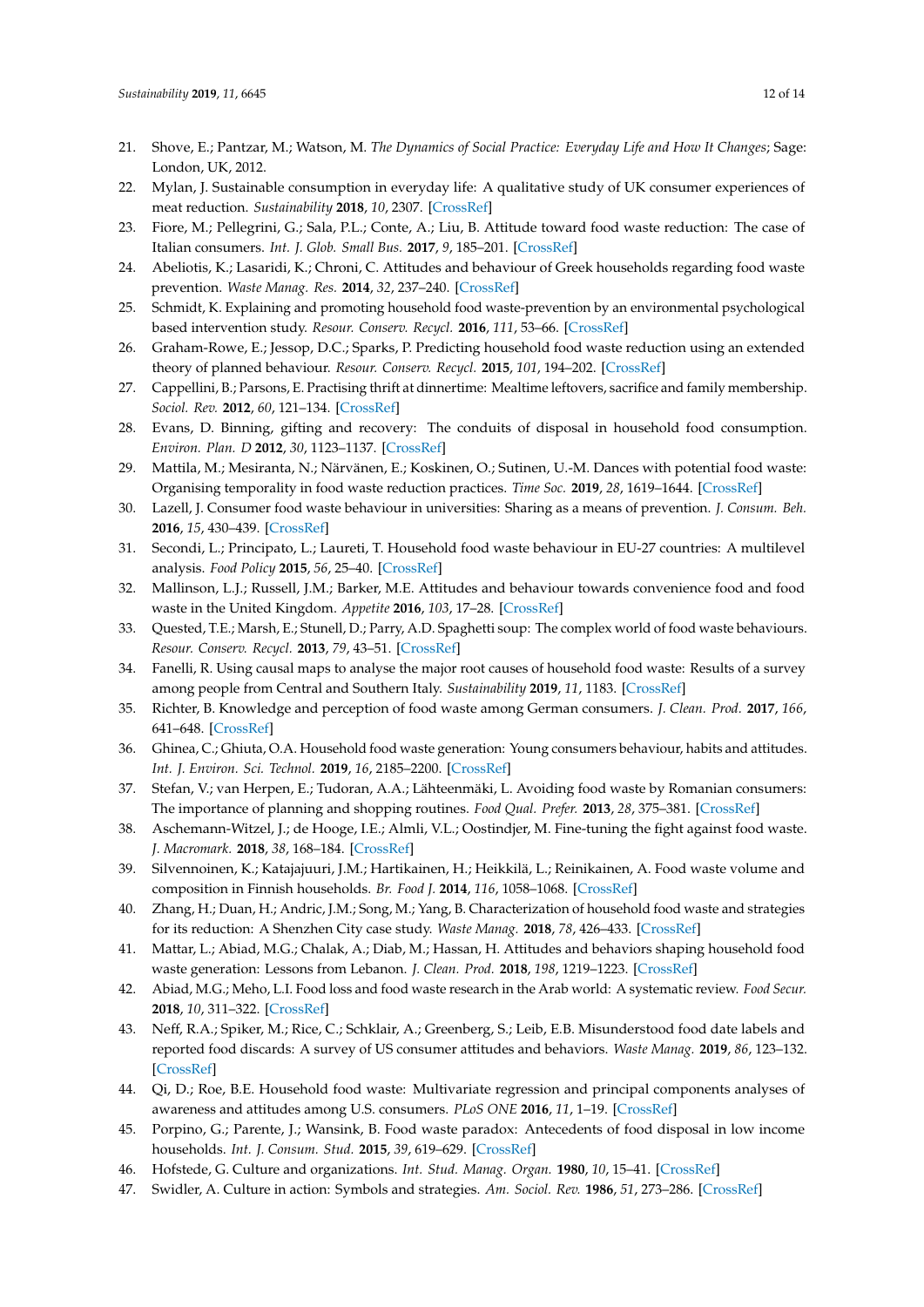- <span id="page-11-0"></span>21. Shove, E.; Pantzar, M.; Watson, M. *The Dynamics of Social Practice: Everyday Life and How It Changes*; Sage: London, UK, 2012.
- <span id="page-11-1"></span>22. Mylan, J. Sustainable consumption in everyday life: A qualitative study of UK consumer experiences of meat reduction. *Sustainability* **2018**, *10*, 2307. [\[CrossRef\]](http://dx.doi.org/10.3390/su10072307)
- <span id="page-11-2"></span>23. Fiore, M.; Pellegrini, G.; Sala, P.L.; Conte, A.; Liu, B. Attitude toward food waste reduction: The case of Italian consumers. *Int. J. Glob. Small Bus.* **2017**, *9*, 185–201. [\[CrossRef\]](http://dx.doi.org/10.1504/IJGSB.2017.088921)
- <span id="page-11-3"></span>24. Abeliotis, K.; Lasaridi, K.; Chroni, C. Attitudes and behaviour of Greek households regarding food waste prevention. *Waste Manag. Res.* **2014**, *32*, 237–240. [\[CrossRef\]](http://dx.doi.org/10.1177/0734242X14521681)
- <span id="page-11-4"></span>25. Schmidt, K. Explaining and promoting household food waste-prevention by an environmental psychological based intervention study. *Resour. Conserv. Recycl.* **2016**, *111*, 53–66. [\[CrossRef\]](http://dx.doi.org/10.1016/j.resconrec.2016.04.006)
- <span id="page-11-5"></span>26. Graham-Rowe, E.; Jessop, D.C.; Sparks, P. Predicting household food waste reduction using an extended theory of planned behaviour. *Resour. Conserv. Recycl.* **2015**, *101*, 194–202. [\[CrossRef\]](http://dx.doi.org/10.1016/j.resconrec.2015.05.020)
- <span id="page-11-6"></span>27. Cappellini, B.; Parsons, E. Practising thrift at dinnertime: Mealtime leftovers, sacrifice and family membership. *Sociol. Rev.* **2012**, *60*, 121–134. [\[CrossRef\]](http://dx.doi.org/10.1111/1467-954X.12041)
- <span id="page-11-9"></span>28. Evans, D. Binning, gifting and recovery: The conduits of disposal in household food consumption. *Environ. Plan. D* **2012**, *30*, 1123–1137. [\[CrossRef\]](http://dx.doi.org/10.1068/d22210)
- <span id="page-11-7"></span>29. Mattila, M.; Mesiranta, N.; Närvänen, E.; Koskinen, O.; Sutinen, U.-M. Dances with potential food waste: Organising temporality in food waste reduction practices. *Time Soc.* **2019**, *28*, 1619–1644. [\[CrossRef\]](http://dx.doi.org/10.1177/0961463X18784123)
- <span id="page-11-8"></span>30. Lazell, J. Consumer food waste behaviour in universities: Sharing as a means of prevention. *J. Consum. Beh.* **2016**, *15*, 430–439. [\[CrossRef\]](http://dx.doi.org/10.1002/cb.1581)
- <span id="page-11-10"></span>31. Secondi, L.; Principato, L.; Laureti, T. Household food waste behaviour in EU-27 countries: A multilevel analysis. *Food Policy* **2015**, *56*, 25–40. [\[CrossRef\]](http://dx.doi.org/10.1016/j.foodpol.2015.07.007)
- <span id="page-11-11"></span>32. Mallinson, L.J.; Russell, J.M.; Barker, M.E. Attitudes and behaviour towards convenience food and food waste in the United Kingdom. *Appetite* **2016**, *103*, 17–28. [\[CrossRef\]](http://dx.doi.org/10.1016/j.appet.2016.03.017)
- <span id="page-11-12"></span>33. Quested, T.E.; Marsh, E.; Stunell, D.; Parry, A.D. Spaghetti soup: The complex world of food waste behaviours. *Resour. Conserv. Recycl.* **2013**, *79*, 43–51. [\[CrossRef\]](http://dx.doi.org/10.1016/j.resconrec.2013.04.011)
- <span id="page-11-13"></span>34. Fanelli, R. Using causal maps to analyse the major root causes of household food waste: Results of a survey among people from Central and Southern Italy. *Sustainability* **2019**, *11*, 1183. [\[CrossRef\]](http://dx.doi.org/10.3390/su11041183)
- <span id="page-11-14"></span>35. Richter, B. Knowledge and perception of food waste among German consumers. *J. Clean. Prod.* **2017**, *166*, 641–648. [\[CrossRef\]](http://dx.doi.org/10.1016/j.jclepro.2017.08.009)
- <span id="page-11-15"></span>36. Ghinea, C.; Ghiuta, O.A. Household food waste generation: Young consumers behaviour, habits and attitudes. *Int. J. Environ. Sci. Technol.* **2019**, *16*, 2185–2200. [\[CrossRef\]](http://dx.doi.org/10.1007/s13762-018-1853-1)
- <span id="page-11-16"></span>37. Stefan, V.; van Herpen, E.; Tudoran, A.A.; Lähteenmäki, L. Avoiding food waste by Romanian consumers: The importance of planning and shopping routines. *Food Qual. Prefer.* **2013**, *28*, 375–381. [\[CrossRef\]](http://dx.doi.org/10.1016/j.foodqual.2012.11.001)
- <span id="page-11-17"></span>38. Aschemann-Witzel, J.; de Hooge, I.E.; Almli, V.L.; Oostindjer, M. Fine-tuning the fight against food waste. *J. Macromark.* **2018**, *38*, 168–184. [\[CrossRef\]](http://dx.doi.org/10.1177/0276146718763251)
- <span id="page-11-18"></span>39. Silvennoinen, K.; Katajajuuri, J.M.; Hartikainen, H.; Heikkilä, L.; Reinikainen, A. Food waste volume and composition in Finnish households. *Br. Food J.* **2014**, *116*, 1058–1068. [\[CrossRef\]](http://dx.doi.org/10.1108/BFJ-12-2012-0311)
- <span id="page-11-19"></span>40. Zhang, H.; Duan, H.; Andric, J.M.; Song, M.; Yang, B. Characterization of household food waste and strategies for its reduction: A Shenzhen City case study. *Waste Manag.* **2018**, *78*, 426–433. [\[CrossRef\]](http://dx.doi.org/10.1016/j.wasman.2018.06.010)
- <span id="page-11-20"></span>41. Mattar, L.; Abiad, M.G.; Chalak, A.; Diab, M.; Hassan, H. Attitudes and behaviors shaping household food waste generation: Lessons from Lebanon. *J. Clean. Prod.* **2018**, *198*, 1219–1223. [\[CrossRef\]](http://dx.doi.org/10.1016/j.jclepro.2018.07.085)
- <span id="page-11-21"></span>42. Abiad, M.G.; Meho, L.I. Food loss and food waste research in the Arab world: A systematic review. *Food Secur.* **2018**, *10*, 311–322. [\[CrossRef\]](http://dx.doi.org/10.1007/s12571-018-0782-7)
- <span id="page-11-22"></span>43. Neff, R.A.; Spiker, M.; Rice, C.; Schklair, A.; Greenberg, S.; Leib, E.B. Misunderstood food date labels and reported food discards: A survey of US consumer attitudes and behaviors. *Waste Manag.* **2019**, *86*, 123–132. [\[CrossRef\]](http://dx.doi.org/10.1016/j.wasman.2019.01.023)
- <span id="page-11-23"></span>44. Qi, D.; Roe, B.E. Household food waste: Multivariate regression and principal components analyses of awareness and attitudes among U.S. consumers. *PLoS ONE* **2016**, *11*, 1–19. [\[CrossRef\]](http://dx.doi.org/10.1371/journal.pone.0159250)
- <span id="page-11-24"></span>45. Porpino, G.; Parente, J.; Wansink, B. Food waste paradox: Antecedents of food disposal in low income households. *Int. J. Consum. Stud.* **2015**, *39*, 619–629. [\[CrossRef\]](http://dx.doi.org/10.1111/ijcs.12207)
- <span id="page-11-26"></span><span id="page-11-25"></span>46. Hofstede, G. Culture and organizations. *Int. Stud. Manag. Organ.* **1980**, *10*, 15–41. [\[CrossRef\]](http://dx.doi.org/10.1080/00208825.1980.11656300)
- 47. Swidler, A. Culture in action: Symbols and strategies. *Am. Sociol. Rev.* **1986**, *51*, 273–286. [\[CrossRef\]](http://dx.doi.org/10.2307/2095521)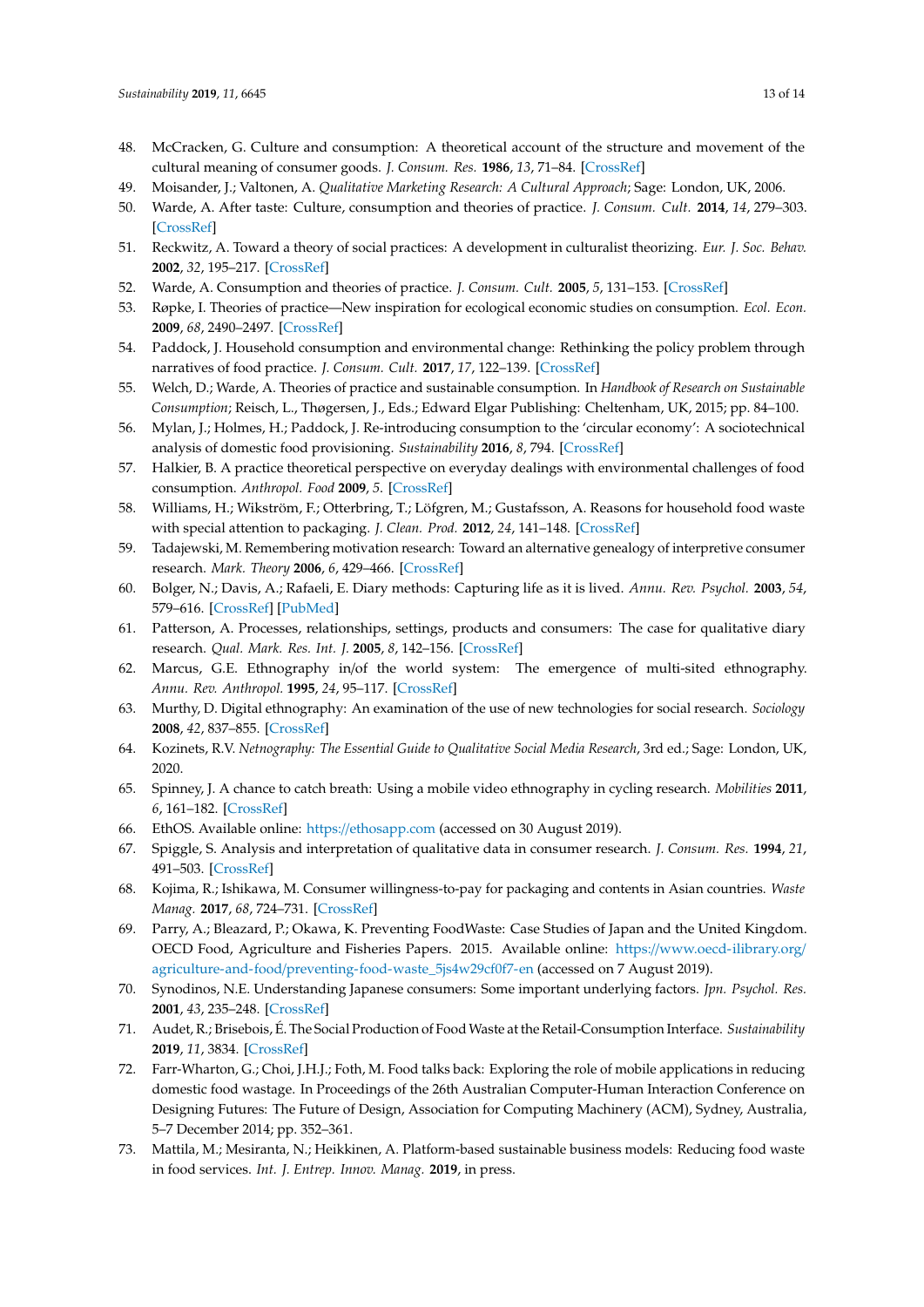- <span id="page-12-0"></span>48. McCracken, G. Culture and consumption: A theoretical account of the structure and movement of the cultural meaning of consumer goods. *J. Consum. Res.* **1986**, *13*, 71–84. [\[CrossRef\]](http://dx.doi.org/10.1086/209048)
- <span id="page-12-1"></span>49. Moisander, J.; Valtonen, A. *Qualitative Marketing Research: A Cultural Approach*; Sage: London, UK, 2006.
- <span id="page-12-2"></span>50. Warde, A. After taste: Culture, consumption and theories of practice. *J. Consum. Cult.* **2014**, *14*, 279–303. [\[CrossRef\]](http://dx.doi.org/10.1177/1469540514547828)
- <span id="page-12-3"></span>51. Reckwitz, A. Toward a theory of social practices: A development in culturalist theorizing. *Eur. J. Soc. Behav.* **2002**, *32*, 195–217. [\[CrossRef\]](http://dx.doi.org/10.1177/13684310222225432)
- <span id="page-12-9"></span>52. Warde, A. Consumption and theories of practice. *J. Consum. Cult.* **2005**, *5*, 131–153. [\[CrossRef\]](http://dx.doi.org/10.1177/1469540505053090)
- <span id="page-12-4"></span>53. Røpke, I. Theories of practice—New inspiration for ecological economic studies on consumption. *Ecol. Econ.* **2009**, *68*, 2490–2497. [\[CrossRef\]](http://dx.doi.org/10.1016/j.ecolecon.2009.05.015)
- <span id="page-12-5"></span>54. Paddock, J. Household consumption and environmental change: Rethinking the policy problem through narratives of food practice. *J. Consum. Cult.* **2017**, *17*, 122–139. [\[CrossRef\]](http://dx.doi.org/10.1177/1469540515586869)
- <span id="page-12-6"></span>55. Welch, D.; Warde, A. Theories of practice and sustainable consumption. In *Handbook of Research on Sustainable Consumption*; Reisch, L., Thøgersen, J., Eds.; Edward Elgar Publishing: Cheltenham, UK, 2015; pp. 84–100.
- <span id="page-12-7"></span>56. Mylan, J.; Holmes, H.; Paddock, J. Re-introducing consumption to the 'circular economy': A sociotechnical analysis of domestic food provisioning. *Sustainability* **2016**, *8*, 794. [\[CrossRef\]](http://dx.doi.org/10.3390/su8080794)
- <span id="page-12-8"></span>57. Halkier, B. A practice theoretical perspective on everyday dealings with environmental challenges of food consumption. *Anthropol. Food* **2009**, *5*. [\[CrossRef\]](http://dx.doi.org/10.4000/aof.6405)
- <span id="page-12-10"></span>58. Williams, H.; Wikström, F.; Otterbring, T.; Löfgren, M.; Gustafsson, A. Reasons for household food waste with special attention to packaging. *J. Clean. Prod.* **2012**, *24*, 141–148. [\[CrossRef\]](http://dx.doi.org/10.1016/j.jclepro.2011.11.044)
- <span id="page-12-11"></span>59. Tadajewski, M. Remembering motivation research: Toward an alternative genealogy of interpretive consumer research. *Mark. Theory* **2006**, *6*, 429–466. [\[CrossRef\]](http://dx.doi.org/10.1177/1470593106069931)
- <span id="page-12-12"></span>60. Bolger, N.; Davis, A.; Rafaeli, E. Diary methods: Capturing life as it is lived. *Annu. Rev. Psychol.* **2003**, *54*, 579–616. [\[CrossRef\]](http://dx.doi.org/10.1146/annurev.psych.54.101601.145030) [\[PubMed\]](http://www.ncbi.nlm.nih.gov/pubmed/12499517)
- <span id="page-12-13"></span>61. Patterson, A. Processes, relationships, settings, products and consumers: The case for qualitative diary research. *Qual. Mark. Res. Int. J.* **2005**, *8*, 142–156. [\[CrossRef\]](http://dx.doi.org/10.1108/13522750510592427)
- <span id="page-12-14"></span>62. Marcus, G.E. Ethnography in/of the world system: The emergence of multi-sited ethnography. *Annu. Rev. Anthropol.* **1995**, *24*, 95–117. [\[CrossRef\]](http://dx.doi.org/10.1146/annurev.an.24.100195.000523)
- <span id="page-12-15"></span>63. Murthy, D. Digital ethnography: An examination of the use of new technologies for social research. *Sociology* **2008**, *42*, 837–855. [\[CrossRef\]](http://dx.doi.org/10.1177/0038038508094565)
- <span id="page-12-16"></span>64. Kozinets, R.V. *Netnography: The Essential Guide to Qualitative Social Media Research*, 3rd ed.; Sage: London, UK, 2020.
- <span id="page-12-17"></span>65. Spinney, J. A chance to catch breath: Using a mobile video ethnography in cycling research. *Mobilities* **2011**, *6*, 161–182. [\[CrossRef\]](http://dx.doi.org/10.1080/17450101.2011.552771)
- <span id="page-12-18"></span>66. EthOS. Available online: https://[ethosapp.com](https://ethosapp.com) (accessed on 30 August 2019).
- <span id="page-12-19"></span>67. Spiggle, S. Analysis and interpretation of qualitative data in consumer research. *J. Consum. Res.* **1994**, *21*, 491–503. [\[CrossRef\]](http://dx.doi.org/10.1086/209413)
- <span id="page-12-20"></span>68. Kojima, R.; Ishikawa, M. Consumer willingness-to-pay for packaging and contents in Asian countries. *Waste Manag.* **2017**, *68*, 724–731. [\[CrossRef\]](http://dx.doi.org/10.1016/j.wasman.2017.06.042)
- <span id="page-12-21"></span>69. Parry, A.; Bleazard, P.; Okawa, K. Preventing FoodWaste: Case Studies of Japan and the United Kingdom. OECD Food, Agriculture and Fisheries Papers. 2015. Available online: https://[www.oecd-ilibrary.org](https://www.oecd-ilibrary.org/agriculture-and-food/preventing-food-waste_5js4w29cf0f7-en)/ agriculture-and-food/[preventing-food-waste\\_5js4w29cf0f7-en](https://www.oecd-ilibrary.org/agriculture-and-food/preventing-food-waste_5js4w29cf0f7-en) (accessed on 7 August 2019).
- <span id="page-12-22"></span>70. Synodinos, N.E. Understanding Japanese consumers: Some important underlying factors. *Jpn. Psychol. Res.* **2001**, *43*, 235–248. [\[CrossRef\]](http://dx.doi.org/10.1111/1468-5884.00181)
- <span id="page-12-23"></span>71. Audet, R.; Brisebois, É. The Social Production of Food Waste at the Retail-Consumption Interface. *Sustainability* **2019**, *11*, 3834. [\[CrossRef\]](http://dx.doi.org/10.3390/su11143834)
- <span id="page-12-24"></span>72. Farr-Wharton, G.; Choi, J.H.J.; Foth, M. Food talks back: Exploring the role of mobile applications in reducing domestic food wastage. In Proceedings of the 26th Australian Computer-Human Interaction Conference on Designing Futures: The Future of Design, Association for Computing Machinery (ACM), Sydney, Australia, 5–7 December 2014; pp. 352–361.
- <span id="page-12-25"></span>73. Mattila, M.; Mesiranta, N.; Heikkinen, A. Platform-based sustainable business models: Reducing food waste in food services. *Int. J. Entrep. Innov. Manag.* **2019**, in press.